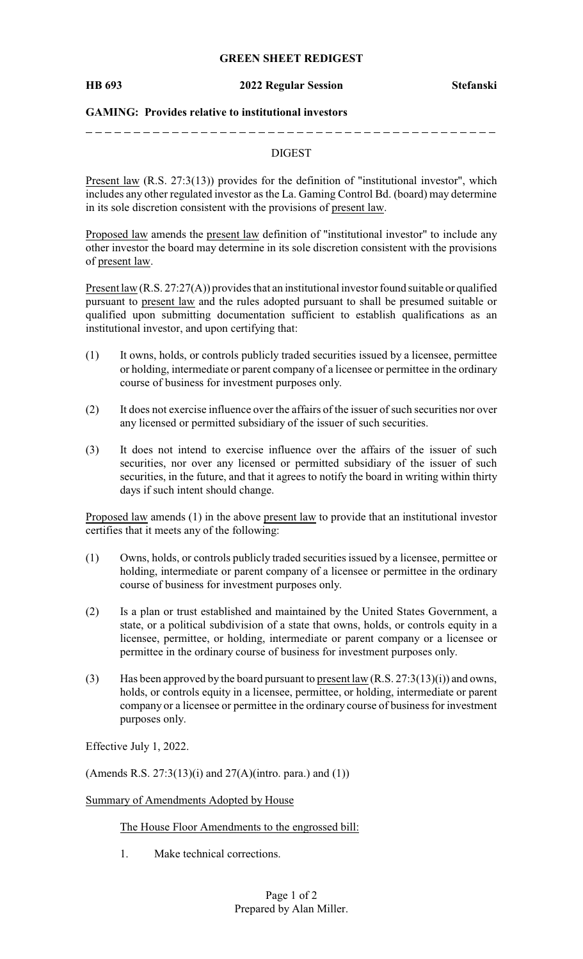### **GREEN SHEET REDIGEST**

### **HB 693 2022 Regular Session Stefanski**

### **GAMING: Provides relative to institutional investors**

## DIGEST

Present law (R.S. 27:3(13)) provides for the definition of "institutional investor", which includes any other regulated investor as the La. Gaming Control Bd. (board) may determine in its sole discretion consistent with the provisions of present law.

Proposed law amends the present law definition of "institutional investor" to include any other investor the board may determine in its sole discretion consistent with the provisions of present law.

Present law (R.S. 27:27(A)) provides that an institutional investor found suitable or qualified pursuant to present law and the rules adopted pursuant to shall be presumed suitable or qualified upon submitting documentation sufficient to establish qualifications as an institutional investor, and upon certifying that:

- (1) It owns, holds, or controls publicly traded securities issued by a licensee, permittee or holding, intermediate or parent company of a licensee or permittee in the ordinary course of business for investment purposes only.
- (2) It does not exercise influence over the affairs of the issuer of such securities nor over any licensed or permitted subsidiary of the issuer of such securities.
- (3) It does not intend to exercise influence over the affairs of the issuer of such securities, nor over any licensed or permitted subsidiary of the issuer of such securities, in the future, and that it agrees to notify the board in writing within thirty days if such intent should change.

Proposed law amends (1) in the above present law to provide that an institutional investor certifies that it meets any of the following:

- (1) Owns, holds, or controls publicly traded securities issued by a licensee, permittee or holding, intermediate or parent company of a licensee or permittee in the ordinary course of business for investment purposes only.
- (2) Is a plan or trust established and maintained by the United States Government, a state, or a political subdivision of a state that owns, holds, or controls equity in a licensee, permittee, or holding, intermediate or parent company or a licensee or permittee in the ordinary course of business for investment purposes only.
- (3) Has been approved by the board pursuant to present law  $(R.S. 27:3(13)(i))$  and owns, holds, or controls equity in a licensee, permittee, or holding, intermediate or parent company or a licensee or permittee in the ordinary course of business for investment purposes only.

Effective July 1, 2022.

(Amends R.S. 27:3(13)(i) and  $27(A)$ (intro. para.) and (1))

### Summary of Amendments Adopted by House

The House Floor Amendments to the engrossed bill:

1. Make technical corrections.